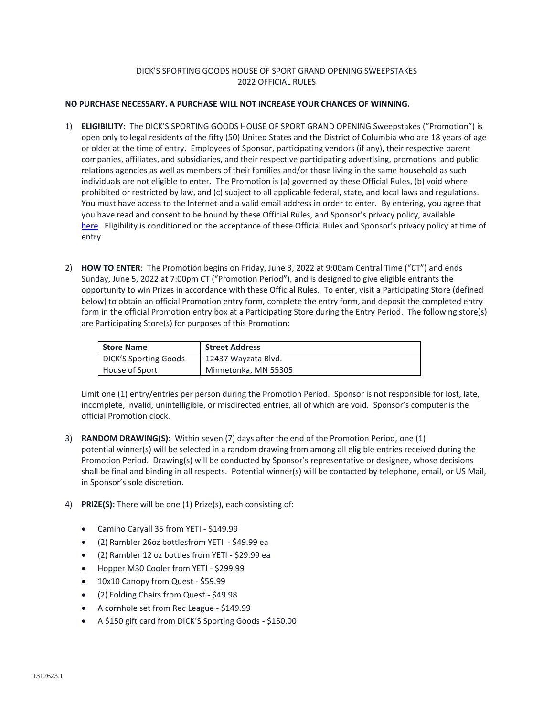## DICK'S SPORTING GOODS HOUSE OF SPORT GRAND OPENING SWEEPSTAKES 2022 OFFICIAL RULES

## **NO PURCHASE NECESSARY. A PURCHASE WILL NOT INCREASE YOUR CHANCES OF WINNING.**

- 1) **ELIGIBILITY:** The DICK'S SPORTING GOODS HOUSE OF SPORT GRAND OPENING Sweepstakes ("Promotion") is open only to legal residents of the fifty (50) United States and the District of Columbia who are 18 years of age or older at the time of entry. Employees of Sponsor, participating vendors (if any), their respective parent companies, affiliates, and subsidiaries, and their respective participating advertising, promotions, and public relations agencies as well as members of their families and/or those living in the same household as such individuals are not eligible to enter. The Promotion is (a) governed by these Official Rules, (b) void where prohibited or restricted by law, and (c) subject to all applicable federal, state, and local laws and regulations. You must have access to the Internet and a valid email address in order to enter. By entering, you agree that you have read and consent to be bound by these Official Rules, and Sponsor's privacy policy, available [here.](https://www.dickssportinggoods.com/s/privacy-policy) Eligibility is conditioned on the acceptance of these Official Rules and Sponsor's privacy policy at time of entry.
- 2) **HOW TO ENTER**: The Promotion begins on Friday, June 3, 2022 at 9:00am Central Time ("CT") and ends Sunday, June 5, 2022 at 7:00pm CT ("Promotion Period"), and is designed to give eligible entrants the opportunity to win Prizes in accordance with these Official Rules. To enter, visit a Participating Store (defined below) to obtain an official Promotion entry form, complete the entry form, and deposit the completed entry form in the official Promotion entry box at a Participating Store during the Entry Period. The following store(s) are Participating Store(s) for purposes of this Promotion:

| <b>Store Name</b>            | <b>Street Address</b> |
|------------------------------|-----------------------|
| <b>DICK'S Sporting Goods</b> | 12437 Wayzata Blvd.   |
| House of Sport               | Minnetonka, MN 55305  |

Limit one (1) entry/entries per person during the Promotion Period. Sponsor is not responsible for lost, late, incomplete, invalid, unintelligible, or misdirected entries, all of which are void. Sponsor's computer is the official Promotion clock.

- 3) **RANDOM DRAWING(S):** Within seven (7) days after the end of the Promotion Period, one (1) potential winner(s) will be selected in a random drawing from among all eligible entries received during the Promotion Period. Drawing(s) will be conducted by Sponsor's representative or designee, whose decisions shall be final and binding in all respects. Potential winner(s) will be contacted by telephone, email, or US Mail, in Sponsor's sole discretion.
- 4) **PRIZE(S):** There will be one (1) Prize(s), each consisting of:
	- Camino Caryall 35 from YETI \$149.99
	- (2) Rambler 26oz bottlesfrom YETI \$49.99 ea
	- (2) Rambler 12 oz bottles from YETI \$29.99 ea
	- Hopper M30 Cooler from YETI \$299.99
	- 10x10 Canopy from Quest \$59.99
	- (2) Folding Chairs from Quest \$49.98
	- A cornhole set from Rec League \$149.99
	- A \$150 gift card from DICK'S Sporting Goods \$150.00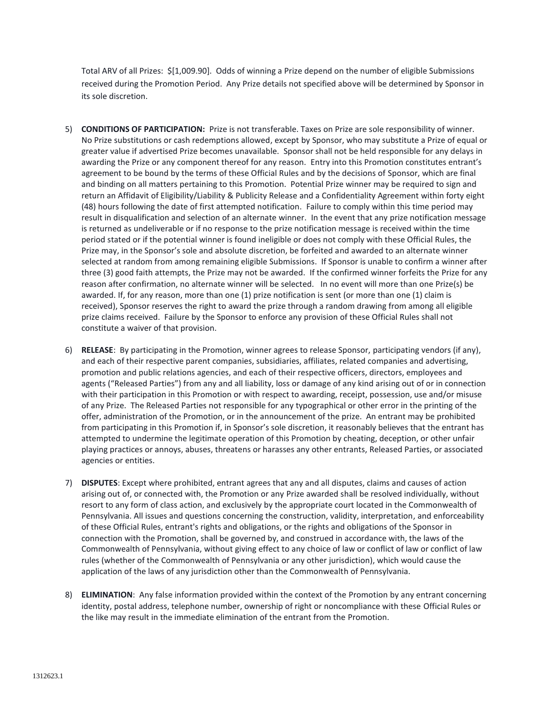Total ARV of all Prizes: \$[1,009.90]. Odds of winning a Prize depend on the number of eligible Submissions received during the Promotion Period. Any Prize details not specified above will be determined by Sponsor in its sole discretion.

- 5) **CONDITIONS OF PARTICIPATION:** Prize is not transferable. Taxes on Prize are sole responsibility of winner. No Prize substitutions or cash redemptions allowed, except by Sponsor, who may substitute a Prize of equal or greater value if advertised Prize becomes unavailable. Sponsor shall not be held responsible for any delays in awarding the Prize or any component thereof for any reason. Entry into this Promotion constitutes entrant's agreement to be bound by the terms of these Official Rules and by the decisions of Sponsor, which are final and binding on all matters pertaining to this Promotion. Potential Prize winner may be required to sign and return an Affidavit of Eligibility/Liability & Publicity Release and a Confidentiality Agreement within forty eight (48) hours following the date of first attempted notification. Failure to comply within this time period may result in disqualification and selection of an alternate winner. In the event that any prize notification message is returned as undeliverable or if no response to the prize notification message is received within the time period stated or if the potential winner is found ineligible or does not comply with these Official Rules, the Prize may, in the Sponsor's sole and absolute discretion, be forfeited and awarded to an alternate winner selected at random from among remaining eligible Submissions. If Sponsor is unable to confirm a winner after three (3) good faith attempts, the Prize may not be awarded. If the confirmed winner forfeits the Prize for any reason after confirmation, no alternate winner will be selected. In no event will more than one Prize(s) be awarded. If, for any reason, more than one (1) prize notification is sent (or more than one (1) claim is received), Sponsor reserves the right to award the prize through a random drawing from among all eligible prize claims received. Failure by the Sponsor to enforce any provision of these Official Rules shall not constitute a waiver of that provision.
- 6) **RELEASE**: By participating in the Promotion, winner agrees to release Sponsor, participating vendors (if any), and each of their respective parent companies, subsidiaries, affiliates, related companies and advertising, promotion and public relations agencies, and each of their respective officers, directors, employees and agents ("Released Parties") from any and all liability, loss or damage of any kind arising out of or in connection with their participation in this Promotion or with respect to awarding, receipt, possession, use and/or misuse of any Prize. The Released Parties not responsible for any typographical or other error in the printing of the offer, administration of the Promotion, or in the announcement of the prize. An entrant may be prohibited from participating in this Promotion if, in Sponsor's sole discretion, it reasonably believes that the entrant has attempted to undermine the legitimate operation of this Promotion by cheating, deception, or other unfair playing practices or annoys, abuses, threatens or harasses any other entrants, Released Parties, or associated agencies or entities.
- 7) **DISPUTES**: Except where prohibited, entrant agrees that any and all disputes, claims and causes of action arising out of, or connected with, the Promotion or any Prize awarded shall be resolved individually, without resort to any form of class action, and exclusively by the appropriate court located in the Commonwealth of Pennsylvania. All issues and questions concerning the construction, validity, interpretation, and enforceability of these Official Rules, entrant's rights and obligations, or the rights and obligations of the Sponsor in connection with the Promotion, shall be governed by, and construed in accordance with, the laws of the Commonwealth of Pennsylvania, without giving effect to any choice of law or conflict of law or conflict of law rules (whether of the Commonwealth of Pennsylvania or any other jurisdiction), which would cause the application of the laws of any jurisdiction other than the Commonwealth of Pennsylvania.
- 8) **ELIMINATION**: Any false information provided within the context of the Promotion by any entrant concerning identity, postal address, telephone number, ownership of right or noncompliance with these Official Rules or the like may result in the immediate elimination of the entrant from the Promotion.